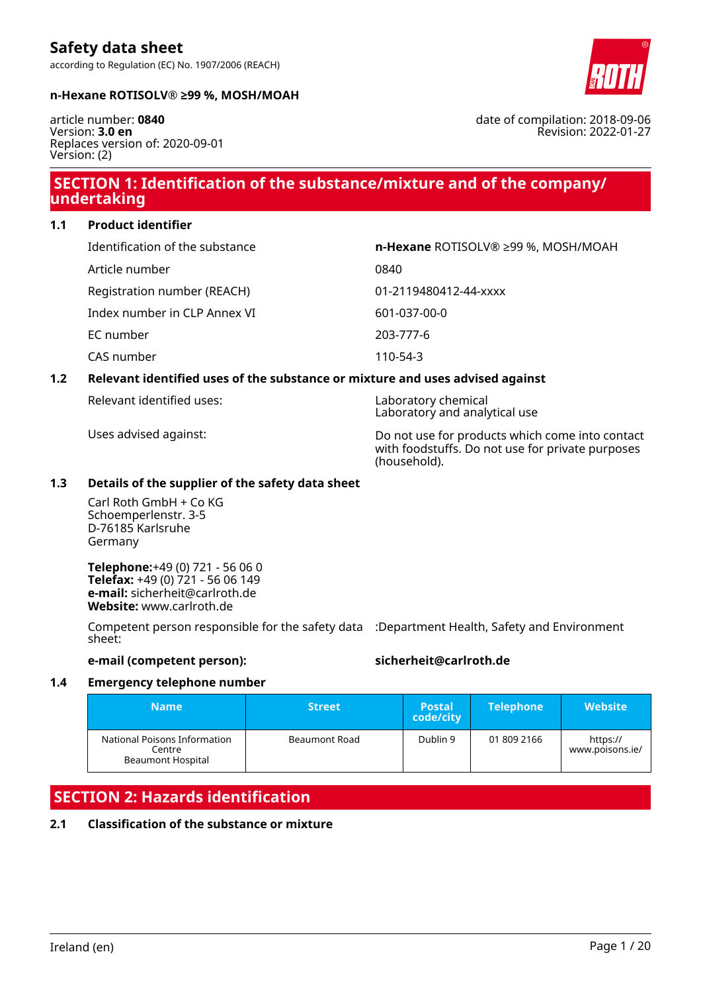Ireland (en) Page 1 / 20

# according to Regulation (EC) No. 1907/2006 (REACH)

#### **n-Hexane ROTISOLV® ≥99 %, MOSH/MOAH**

article number: **0840** Version: **3.0 en** Replaces version of: 2020-09-01 Version: (2)

**Safety data sheet**

### **SECTION 1: Identification of the substance/mixture and of the company/ undertaking**

**1.1 Product identifier**

| Identification of the substance | n-Hexane ROTISOLV® ≥99 %, MOSH/MOAH |
|---------------------------------|-------------------------------------|
| Article number                  | 0840                                |
| Registration number (REACH)     | 01-2119480412-44-xxxx               |
| Index number in CLP Annex VI    | 601-037-00-0                        |
| EC number                       | 203-777-6                           |
| CAS number                      | 110-54-3                            |

### **1.2 Relevant identified uses of the substance or mixture and uses advised against**

Relevant identified uses: Laboratory chemical

#### **1.3 Details of the supplier of the safety data sheet**

Carl Roth GmbH + Co KG Schoemperlenstr. 3-5 D-76185 Karlsruhe Germany

**Telephone:**+49 (0) 721 - 56 06 0 **Telefax:** +49 (0) 721 - 56 06 149 **e-mail:** sicherheit@carlroth.de **Website:** www.carlroth.de

Competent person responsible for the safety data :Department Health, Safety and Environment sheet:

### **e-mail (competent person): sicherheit@carlroth.de**

### **1.4 Emergency telephone number**

| <b>Name</b>                                                        | <b>Street</b> | <b>Postal</b><br>code/city | <b>Telephone</b> | <b>Website</b>              |
|--------------------------------------------------------------------|---------------|----------------------------|------------------|-----------------------------|
| National Poisons Information<br>Centre<br><b>Beaumont Hospital</b> | Beaumont Road | Dublin 9                   | 01 809 2166      | https://<br>www.poisons.ie/ |

# **SECTION 2: Hazards identification**

### **2.1 Classification of the substance or mixture**



date of compilation: 2018-09-06

Revision: 2022-01-27

Laboratory and analytical use

Uses advised against: Do not use for products which come into contact with foodstuffs. Do not use for private purposes (household).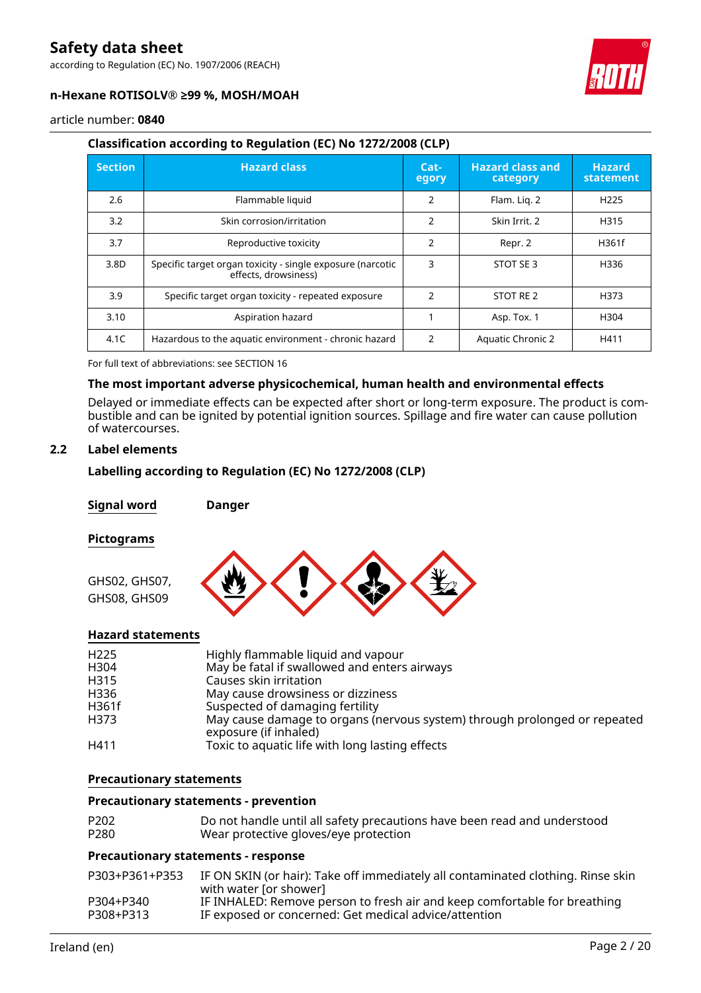according to Regulation (EC) No. 1907/2006 (REACH)



#### **n-Hexane ROTISOLV® ≥99 %, MOSH/MOAH**

article number: **0840**

#### **Classification according to Regulation (EC) No 1272/2008 (CLP)**

| <b>Section</b> | <b>Hazard class</b>                                                                | $Cat-$<br>egory | <b>Hazard class and</b><br>category | <b>Hazard</b><br>statement |
|----------------|------------------------------------------------------------------------------------|-----------------|-------------------------------------|----------------------------|
| 2.6            | Flammable liquid                                                                   | 2               | Flam. Lig. 2                        | H <sub>225</sub>           |
| 3.2            | Skin corrosion/irritation                                                          | $\mathfrak{p}$  | Skin Irrit. 2                       | H315                       |
| 3.7            | Reproductive toxicity                                                              | 2               | Repr. 2                             | H361f                      |
| 3.8D           | Specific target organ toxicity - single exposure (narcotic<br>effects, drowsiness) | 3               | STOT SE 3                           | H336                       |
| 3.9            | Specific target organ toxicity - repeated exposure                                 | $\mathfrak{p}$  | STOT RE 2                           | H373                       |
| 3.10           | Aspiration hazard                                                                  |                 | Asp. Tox. 1                         | H304                       |
| 4.1C           | Hazardous to the aquatic environment - chronic hazard                              | $\mathcal{P}$   | <b>Aquatic Chronic 2</b>            | H411                       |

For full text of abbreviations: see SECTION 16

#### **The most important adverse physicochemical, human health and environmental effects**

Delayed or immediate effects can be expected after short or long-term exposure. The product is combustible and can be ignited by potential ignition sources. Spillage and fire water can cause pollution of watercourses.

#### **2.2 Label elements**

#### **Labelling according to Regulation (EC) No 1272/2008 (CLP)**

**Signal word Danger**

#### **Pictograms**



#### **Hazard statements**

| H <sub>225</sub> | Highly flammable liquid and vapour                                                                 |
|------------------|----------------------------------------------------------------------------------------------------|
| H304             | May be fatal if swallowed and enters airways                                                       |
| H315             | Causes skin irritation                                                                             |
| H336             | May cause drowsiness or dizziness                                                                  |
| H361f            | Suspected of damaging fertility                                                                    |
| H373             | May cause damage to organs (nervous system) through prolonged or repeated<br>exposure (if inhaled) |
| H411             | Toxic to aquatic life with long lasting effects                                                    |

#### **Precautionary statements**

#### **Precautionary statements - prevention**

| P <sub>202</sub> | Do not handle until all safety precautions have been read and understood |
|------------------|--------------------------------------------------------------------------|
| P <sub>280</sub> | Wear protective gloves/eye protection                                    |

#### **Precautionary statements - response**

| P303+P361+P353 | IF ON SKIN (or hair): Take off immediately all contaminated clothing. Rinse skin<br>with water for shower] |
|----------------|------------------------------------------------------------------------------------------------------------|
| P304+P340      | IF INHALED: Remove person to fresh air and keep comfortable for breathing                                  |
| P308+P313      | IF exposed or concerned: Get medical advice/attention                                                      |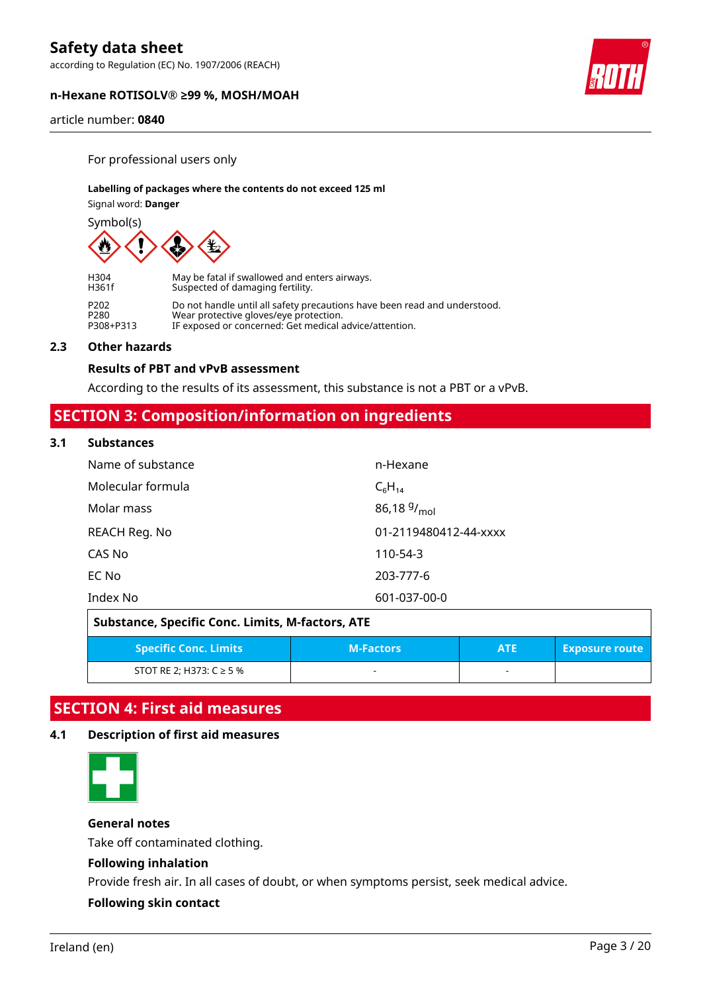according to Regulation (EC) No. 1907/2006 (REACH)

#### **n-Hexane ROTISOLV® ≥99 %, MOSH/MOAH**

article number: **0840**

For professional users only

#### **Labelling of packages where the contents do not exceed 125 ml**

Signal word: **Danger**

Symbol(s)



| H304      | May be fatal if swallowed and enters airways.                             |
|-----------|---------------------------------------------------------------------------|
| H361f     | Suspected of damaging fertility.                                          |
| P202      | Do not handle until all safety precautions have been read and understood. |
| P280      | Wear protective gloves/eye protection.                                    |
| P308+P313 | IF exposed or concerned: Get medical advice/attention.                    |

#### **2.3 Other hazards**

#### **Results of PBT and vPvB assessment**

According to the results of its assessment, this substance is not a PBT or a vPvB.

### **SECTION 3: Composition/information on ingredients**

#### **3.1 Substances**

| Name of substance | n-Hexane              |
|-------------------|-----------------------|
| Molecular formula | $C_6H_{14}$           |
| Molar mass        | 86,18 $9/_{mol}$      |
| REACH Reg. No     | 01-2119480412-44-xxxx |
| CAS No            | 110-54-3              |
| EC No             | 203-777-6             |
| Index No          | 601-037-00-0          |

| Substance, Specific Conc. Limits, M-factors, ATE |                  |            |                       |  |
|--------------------------------------------------|------------------|------------|-----------------------|--|
| <b>Specific Conc. Limits</b>                     | <b>M-Factors</b> | <b>ATE</b> | <b>Exposure route</b> |  |
| STOT RE 2; H373: $C \ge 5$ %                     | -                |            |                       |  |

### **SECTION 4: First aid measures**

#### **4.1 Description of first aid measures**



#### **General notes**

Take off contaminated clothing.

#### **Following inhalation**

Provide fresh air. In all cases of doubt, or when symptoms persist, seek medical advice.

#### **Following skin contact**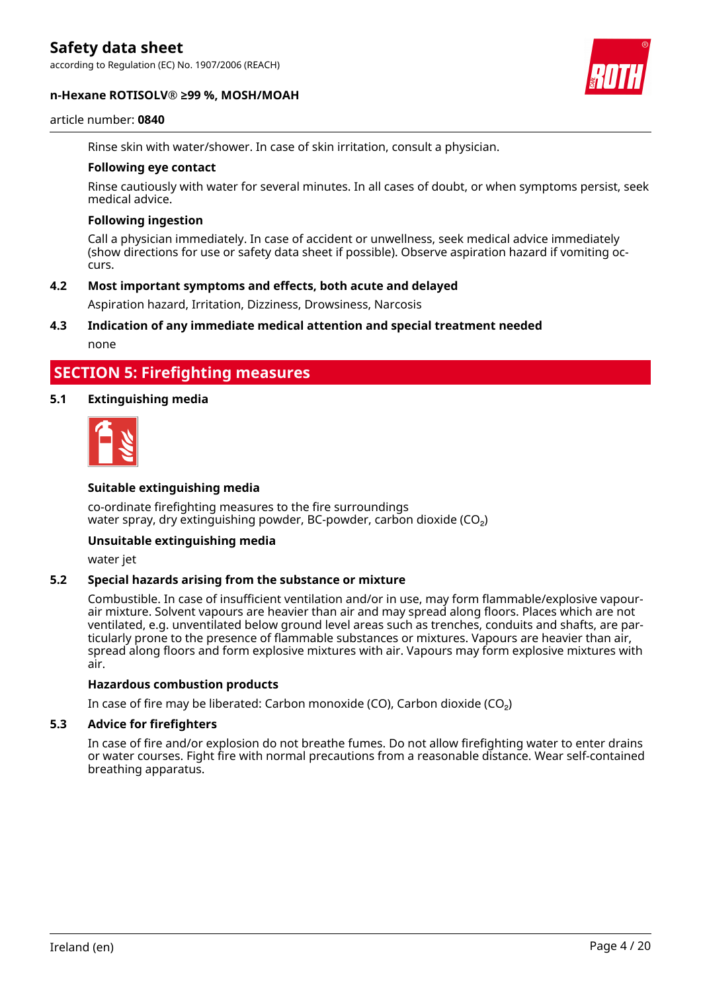according to Regulation (EC) No. 1907/2006 (REACH)

#### **n-Hexane ROTISOLV® ≥99 %, MOSH/MOAH**



#### article number: **0840**

Rinse skin with water/shower. In case of skin irritation, consult a physician.

#### **Following eye contact**

Rinse cautiously with water for several minutes. In all cases of doubt, or when symptoms persist, seek medical advice.

#### **Following ingestion**

Call a physician immediately. In case of accident or unwellness, seek medical advice immediately (show directions for use or safety data sheet if possible). Observe aspiration hazard if vomiting occurs.

#### **4.2 Most important symptoms and effects, both acute and delayed**

Aspiration hazard, Irritation, Dizziness, Drowsiness, Narcosis

#### **4.3 Indication of any immediate medical attention and special treatment needed**

none

### **SECTION 5: Firefighting measures**

#### **5.1 Extinguishing media**



#### **Suitable extinguishing media**

co-ordinate firefighting measures to the fire surroundings water spray, dry extinguishing powder, BC-powder, carbon dioxide  $(CO<sub>2</sub>)$ 

#### **Unsuitable extinguishing media**

water jet

#### **5.2 Special hazards arising from the substance or mixture**

Combustible. In case of insufficient ventilation and/or in use, may form flammable/explosive vapourair mixture. Solvent vapours are heavier than air and may spread along floors. Places which are not ventilated, e.g. unventilated below ground level areas such as trenches, conduits and shafts, are particularly prone to the presence of flammable substances or mixtures. Vapours are heavier than air, spread along floors and form explosive mixtures with air. Vapours may form explosive mixtures with air.

#### **Hazardous combustion products**

In case of fire may be liberated: Carbon monoxide (CO), Carbon dioxide (CO₂)

#### **5.3 Advice for firefighters**

In case of fire and/or explosion do not breathe fumes. Do not allow firefighting water to enter drains or water courses. Fight fire with normal precautions from a reasonable distance. Wear self-contained breathing apparatus.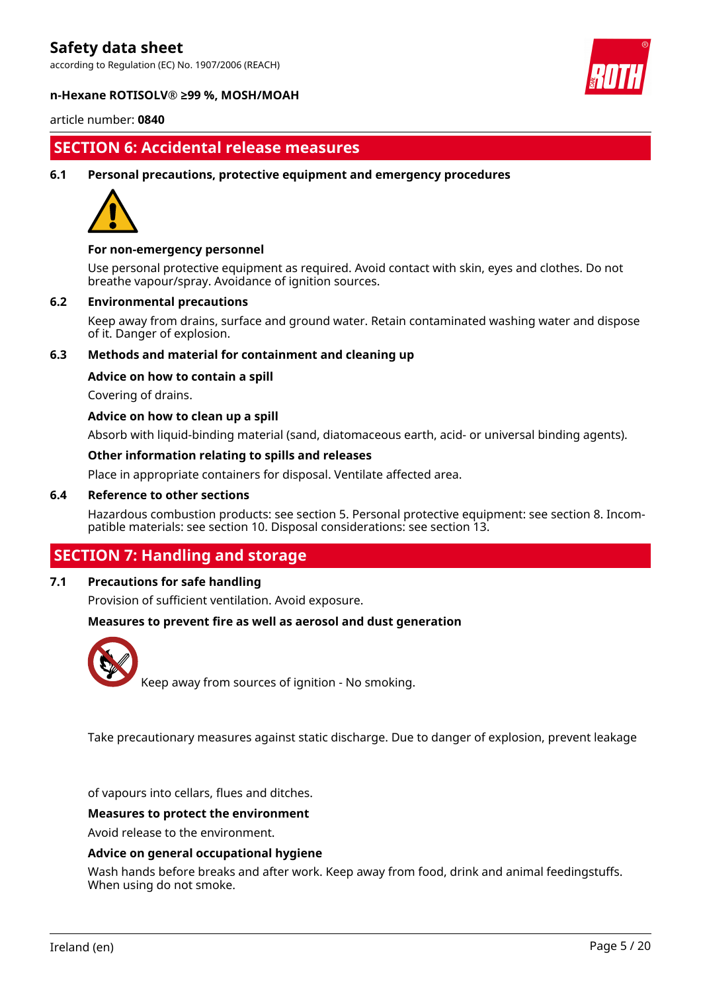according to Regulation (EC) No. 1907/2006 (REACH)



#### **n-Hexane ROTISOLV® ≥99 %, MOSH/MOAH**

article number: **0840**

### **SECTION 6: Accidental release measures**

**6.1 Personal precautions, protective equipment and emergency procedures**



#### **For non-emergency personnel**

Use personal protective equipment as required. Avoid contact with skin, eyes and clothes. Do not breathe vapour/spray. Avoidance of ignition sources.

#### **6.2 Environmental precautions**

Keep away from drains, surface and ground water. Retain contaminated washing water and dispose of it. Danger of explosion.

#### **6.3 Methods and material for containment and cleaning up**

#### **Advice on how to contain a spill**

Covering of drains.

#### **Advice on how to clean up a spill**

Absorb with liquid-binding material (sand, diatomaceous earth, acid- or universal binding agents).

#### **Other information relating to spills and releases**

Place in appropriate containers for disposal. Ventilate affected area.

#### **6.4 Reference to other sections**

Hazardous combustion products: see section 5. Personal protective equipment: see section 8. Incompatible materials: see section 10. Disposal considerations: see section 13.

### **SECTION 7: Handling and storage**

### **7.1 Precautions for safe handling**

Provision of sufficient ventilation. Avoid exposure.

#### **Measures to prevent fire as well as aerosol and dust generation**



Keep away from sources of ignition - No smoking.

Take precautionary measures against static discharge. Due to danger of explosion, prevent leakage

of vapours into cellars, flues and ditches.

#### **Measures to protect the environment**

Avoid release to the environment.

#### **Advice on general occupational hygiene**

Wash hands before breaks and after work. Keep away from food, drink and animal feedingstuffs. When using do not smoke.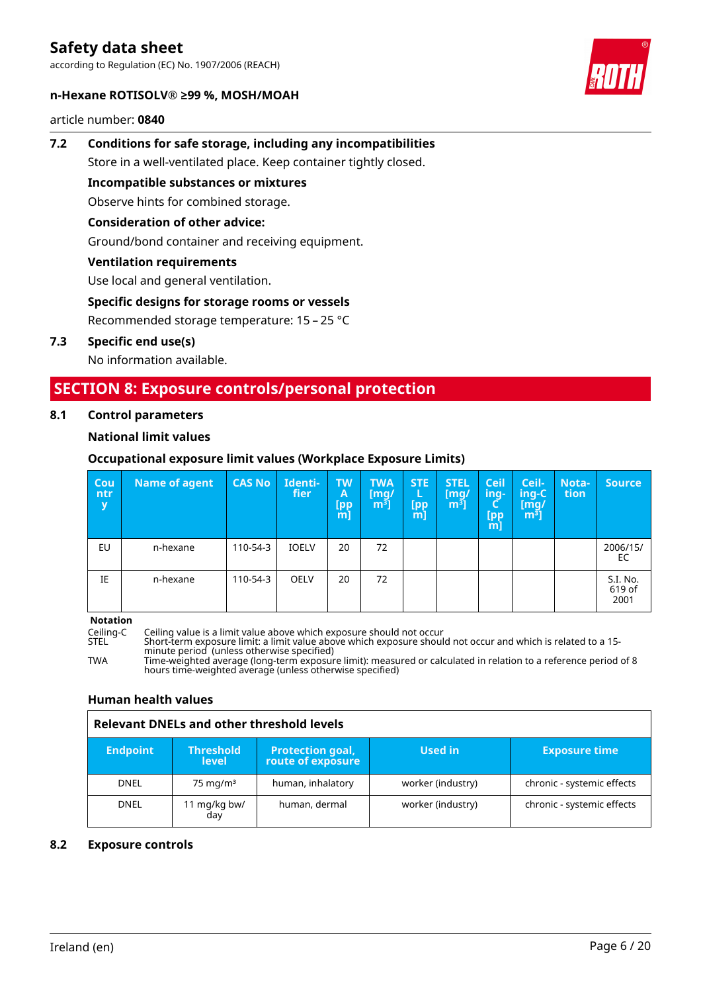according to Regulation (EC) No. 1907/2006 (REACH)



article number: **0840**



# **7.2 Conditions for safe storage, including any incompatibilities**

Store in a well-ventilated place. Keep container tightly closed.

**Incompatible substances or mixtures**

Observe hints for combined storage.

#### **Consideration of other advice:**

Ground/bond container and receiving equipment.

### **Ventilation requirements**

Use local and general ventilation.

### **Specific designs for storage rooms or vessels**

Recommended storage temperature: 15 – 25 °C

#### **7.3 Specific end use(s)**

No information available.

### **SECTION 8: Exposure controls/personal protection**

#### **8.1 Control parameters**

### **National limit values**

### **Occupational exposure limit values (Workplace Exposure Limits)**

| Cou<br>ntr<br>y | Name of agent | <b>CAS No</b> | Identi-<br>fier | <b>TW</b><br>A<br>T <sub>pp</sub><br>[m] | <b>TWA</b><br>[mq/<br>m <sup>3</sup> | <b>STE</b><br>L<br>[pp<br>m] | <b>STEL</b><br>[mq/<br>m <sup>3</sup> | <b>Ceil</b><br>ing-<br>с.,<br>[pp<br>$m$ ] | Ceil-<br>$inq-C$<br>[mg/<br>m <sup>3</sup> | Nota-<br>tion | <b>Source</b>              |
|-----------------|---------------|---------------|-----------------|------------------------------------------|--------------------------------------|------------------------------|---------------------------------------|--------------------------------------------|--------------------------------------------|---------------|----------------------------|
| EU              | n-hexane      | 110-54-3      | <b>IOELV</b>    | 20                                       | 72                                   |                              |                                       |                                            |                                            |               | 2006/15/<br>EC             |
| ΙE              | n-hexane      | 110-54-3      | <b>OELV</b>     | 20                                       | 72                                   |                              |                                       |                                            |                                            |               | S.I. No.<br>619 of<br>2001 |

**Notation**

Ceiling-C Ceiling value is a limit value above which exposure should not occur

STEL Short-term exposure limit: a limit value above which exposure should not occur and which is related to a 15 minute period (unless otherwise specified)

TWA Time-weighted average (long-term exposure limit): measured or calculated in relation to a reference period of 8 hours time-weighted average (unless otherwise specified)

#### **Human health values**

### **Relevant DNELs and other threshold levels**

| <b>Endpoint</b> | <b>Threshold</b><br><b>level</b> | <b>Protection goal,</b><br>route of exposure | Used in           | <b>Exposure time</b>       |
|-----------------|----------------------------------|----------------------------------------------|-------------------|----------------------------|
| <b>DNEL</b>     | $75 \text{ mg/m}^3$              | human, inhalatory                            | worker (industry) | chronic - systemic effects |
| <b>DNEL</b>     | 11 mg/kg bw/<br>day              | human, dermal                                | worker (industry) | chronic - systemic effects |

#### **8.2 Exposure controls**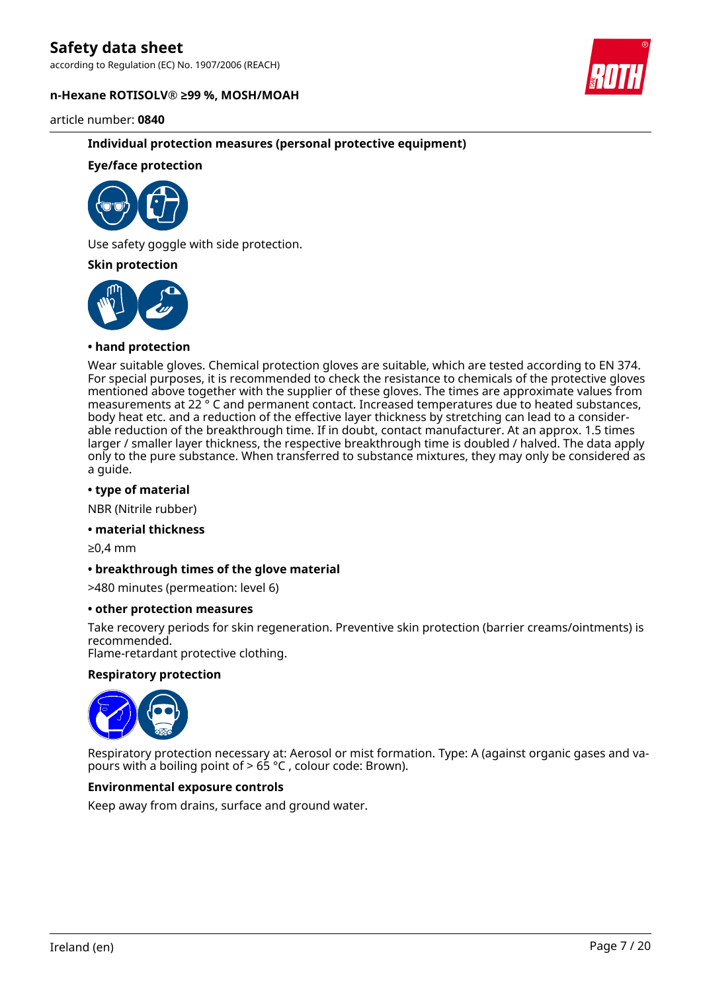according to Regulation (EC) No. 1907/2006 (REACH)

#### **n-Hexane ROTISOLV® ≥99 %, MOSH/MOAH**



article number: **0840**

#### **Individual protection measures (personal protective equipment)**

#### **Eye/face protection**



Use safety goggle with side protection.

#### **Skin protection**



#### **• hand protection**

Wear suitable gloves. Chemical protection gloves are suitable, which are tested according to EN 374. For special purposes, it is recommended to check the resistance to chemicals of the protective gloves mentioned above together with the supplier of these gloves. The times are approximate values from measurements at 22 ° C and permanent contact. Increased temperatures due to heated substances, body heat etc. and a reduction of the effective layer thickness by stretching can lead to a considerable reduction of the breakthrough time. If in doubt, contact manufacturer. At an approx. 1.5 times larger / smaller layer thickness, the respective breakthrough time is doubled / halved. The data apply only to the pure substance. When transferred to substance mixtures, they may only be considered as a guide.

#### **• type of material**

NBR (Nitrile rubber)

#### **• material thickness**

≥0,4 mm

#### **• breakthrough times of the glove material**

>480 minutes (permeation: level 6)

#### **• other protection measures**

Take recovery periods for skin regeneration. Preventive skin protection (barrier creams/ointments) is recommended.

Flame-retardant protective clothing.

#### **Respiratory protection**



Respiratory protection necessary at: Aerosol or mist formation. Type: A (against organic gases and vapours with a boiling point of  $> 65$  °C, colour code: Brown).

#### **Environmental exposure controls**

Keep away from drains, surface and ground water.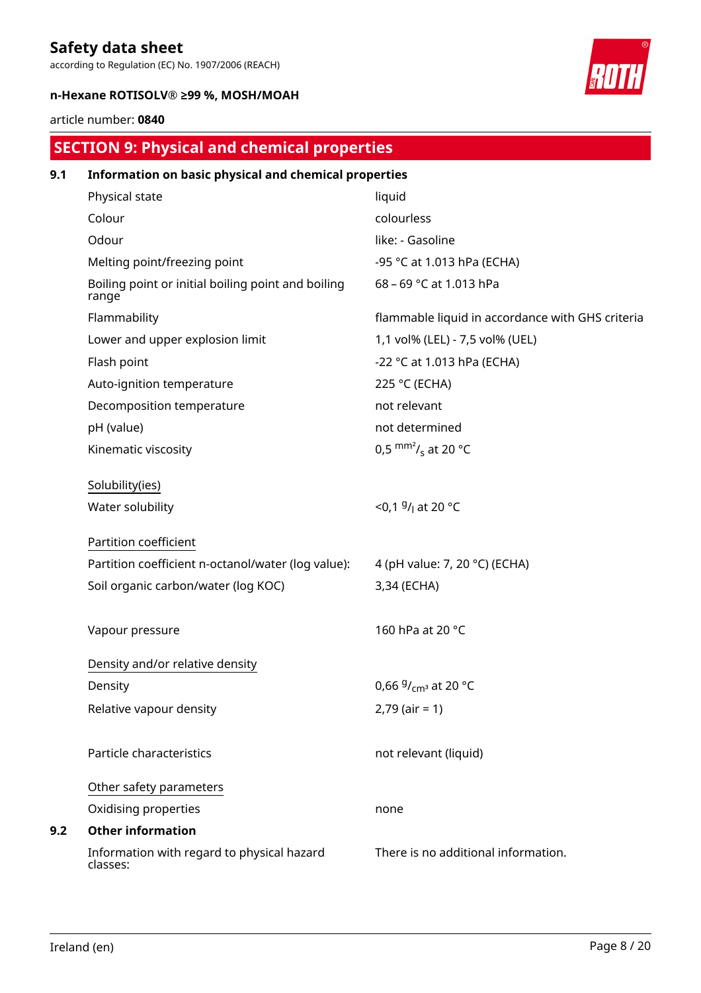according to Regulation (EC) No. 1907/2006 (REACH)

#### **n-Hexane ROTISOLV® ≥99 %, MOSH/MOAH**

#### article number: **0840**

# **SECTION 9: Physical and chemical properties**

| 9.1 | Information on basic physical and chemical properties       |                                                  |  |  |  |  |
|-----|-------------------------------------------------------------|--------------------------------------------------|--|--|--|--|
|     | Physical state                                              | liquid                                           |  |  |  |  |
|     | Colour                                                      | colourless                                       |  |  |  |  |
|     | Odour                                                       | like: - Gasoline                                 |  |  |  |  |
|     | Melting point/freezing point                                | -95 °C at 1.013 hPa (ECHA)                       |  |  |  |  |
|     | Boiling point or initial boiling point and boiling<br>range | 68 - 69 °C at 1.013 hPa                          |  |  |  |  |
|     | Flammability                                                | flammable liquid in accordance with GHS criteria |  |  |  |  |
|     | Lower and upper explosion limit                             | 1,1 vol% (LEL) - 7,5 vol% (UEL)                  |  |  |  |  |
|     | Flash point                                                 | -22 °C at 1.013 hPa (ECHA)                       |  |  |  |  |
|     | Auto-ignition temperature                                   | 225 °C (ECHA)                                    |  |  |  |  |
|     | Decomposition temperature                                   | not relevant                                     |  |  |  |  |
|     | pH (value)                                                  | not determined                                   |  |  |  |  |
|     | Kinematic viscosity                                         | 0,5 $\text{mm}^2$ / <sub>s</sub> at 20 °C        |  |  |  |  |
|     | Solubility(ies)                                             |                                                  |  |  |  |  |
|     | Water solubility                                            | <0,1 $9/1$ at 20 °C                              |  |  |  |  |
|     | Partition coefficient                                       |                                                  |  |  |  |  |
|     | Partition coefficient n-octanol/water (log value):          | 4 (pH value: 7, 20 °C) (ECHA)                    |  |  |  |  |
|     | Soil organic carbon/water (log KOC)                         | 3,34 (ECHA)                                      |  |  |  |  |
|     | Vapour pressure                                             | 160 hPa at 20 °C                                 |  |  |  |  |
|     | Density and/or relative density                             |                                                  |  |  |  |  |
|     | Density                                                     | 0,66 $9/$ <sub>cm</sub> <sup>3</sup> at 20 °C    |  |  |  |  |
|     | Relative vapour density                                     | $2,79$ (air = 1)                                 |  |  |  |  |
|     | Particle characteristics                                    | not relevant (liquid)                            |  |  |  |  |
|     | Other safety parameters                                     |                                                  |  |  |  |  |
|     | Oxidising properties                                        | none                                             |  |  |  |  |
| 9.2 | <b>Other information</b>                                    |                                                  |  |  |  |  |
|     | Information with regard to physical hazard<br>classes:      | There is no additional information.              |  |  |  |  |

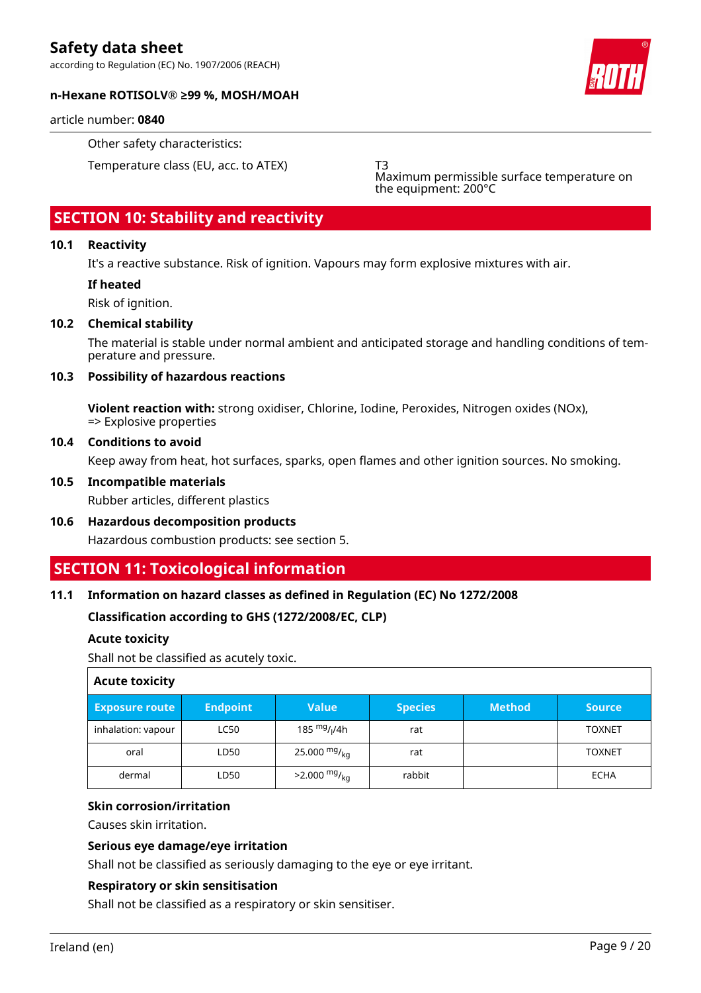according to Regulation (EC) No. 1907/2006 (REACH)



#### **n-Hexane ROTISOLV® ≥99 %, MOSH/MOAH**

article number: **0840**

Other safety characteristics:

Temperature class (EU, acc. to ATEX) T3

Maximum permissible surface temperature on the equipment: 200°C

### **SECTION 10: Stability and reactivity**

#### **10.1 Reactivity**

It's a reactive substance. Risk of ignition. Vapours may form explosive mixtures with air.

#### **If heated**

Risk of ignition.

#### **10.2 Chemical stability**

The material is stable under normal ambient and anticipated storage and handling conditions of temperature and pressure.

#### **10.3 Possibility of hazardous reactions**

**Violent reaction with:** strong oxidiser, Chlorine, Iodine, Peroxides, Nitrogen oxides (NOx), => Explosive properties

#### **10.4 Conditions to avoid**

Keep away from heat, hot surfaces, sparks, open flames and other ignition sources. No smoking.

#### **10.5 Incompatible materials**

Rubber articles, different plastics

**10.6 Hazardous decomposition products** Hazardous combustion products: see section 5.

### **SECTION 11: Toxicological information**

#### **11.1 Information on hazard classes as defined in Regulation (EC) No 1272/2008**

### **Classification according to GHS (1272/2008/EC, CLP)**

#### **Acute toxicity**

Shall not be classified as acutely toxic.

| <b>Acute toxicity</b> |                 |                                      |                |               |               |  |
|-----------------------|-----------------|--------------------------------------|----------------|---------------|---------------|--|
| <b>Exposure route</b> | <b>Endpoint</b> | <b>Value</b>                         | <b>Species</b> | <b>Method</b> | <b>Source</b> |  |
| inhalation: vapour    | <b>LC50</b>     | 185 <sup>mg</sup> / <sub>l</sub> /4h | rat            |               | <b>TOXNET</b> |  |
| oral                  | LD50            | 25.000 $mg/kq$                       | rat            |               | <b>TOXNET</b> |  |
| dermal                | LD50            | $>2.000$ mg/ <sub>kg</sub>           | rabbit         |               | <b>ECHA</b>   |  |

#### **Skin corrosion/irritation**

Causes skin irritation.

#### **Serious eye damage/eye irritation**

Shall not be classified as seriously damaging to the eye or eye irritant.

#### **Respiratory or skin sensitisation**

Shall not be classified as a respiratory or skin sensitiser.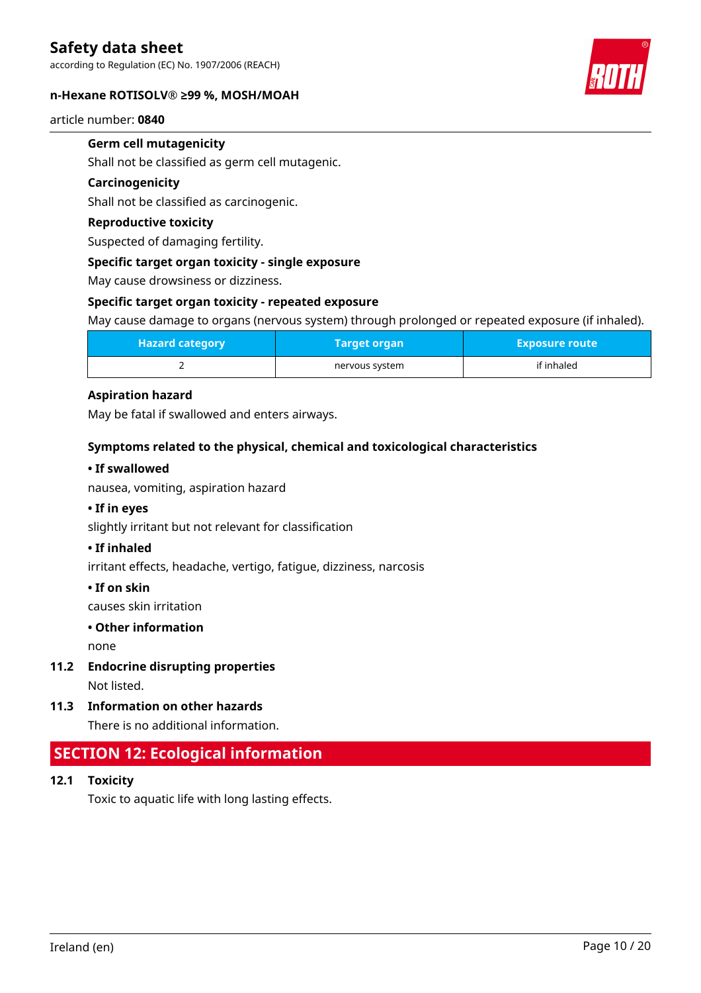according to Regulation (EC) No. 1907/2006 (REACH)

#### **n-Hexane ROTISOLV® ≥99 %, MOSH/MOAH**



#### article number: **0840**

### **Germ cell mutagenicity**

Shall not be classified as germ cell mutagenic.

#### **Carcinogenicity**

Shall not be classified as carcinogenic.

#### **Reproductive toxicity**

Suspected of damaging fertility.

#### **Specific target organ toxicity - single exposure**

May cause drowsiness or dizziness.

#### **Specific target organ toxicity - repeated exposure**

May cause damage to organs (nervous system) through prolonged or repeated exposure (if inhaled).

| <b>Hazard category</b> | Target organ   | <b>Exposure route</b> |
|------------------------|----------------|-----------------------|
|                        | nervous system | if inhaled            |

#### **Aspiration hazard**

May be fatal if swallowed and enters airways.

#### **Symptoms related to the physical, chemical and toxicological characteristics**

#### **• If swallowed**

nausea, vomiting, aspiration hazard

#### **• If in eyes**

slightly irritant but not relevant for classification

#### **• If inhaled**

irritant effects, headache, vertigo, fatigue, dizziness, narcosis

#### **• If on skin**

causes skin irritation

#### **• Other information**

none

**11.2 Endocrine disrupting properties**

Not listed.

**11.3 Information on other hazards**

There is no additional information.

### **SECTION 12: Ecological information**

**12.1 Toxicity**

Toxic to aquatic life with long lasting effects.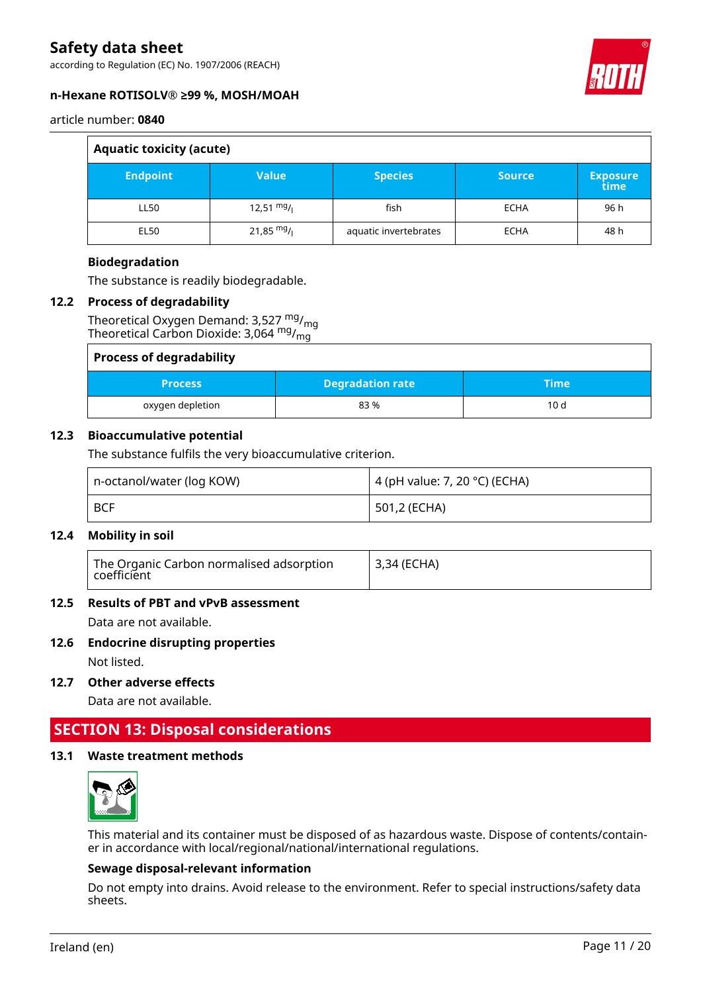according to Regulation (EC) No. 1907/2006 (REACH)



#### **n-Hexane ROTISOLV® ≥99 %, MOSH/MOAH**

article number: **0840**

| <b>Aquatic toxicity (acute)</b> |              |                       |               |                         |  |
|---------------------------------|--------------|-----------------------|---------------|-------------------------|--|
| <b>Endpoint</b>                 | <b>Value</b> | <b>Species</b>        | <b>Source</b> | <b>Exposure</b><br>time |  |
| LL50                            | 12,51 $mg/$  | fish                  | <b>ECHA</b>   | 96 h                    |  |
| EL50                            | 21,85 $mg/$  | aquatic invertebrates | <b>ECHA</b>   | 48 h                    |  |

#### **Biodegradation**

The substance is readily biodegradable.

#### **12.2 Process of degradability**

Theoretical Oxygen Demand:  $3,527 \frac{mg}{mg}$ Theoretical Carbon Dioxide: 3,064 mg/<sub>mg</sub>

| <b>Process of degradability</b> |                         |      |  |
|---------------------------------|-------------------------|------|--|
| <b>Process</b>                  | <b>Degradation rate</b> | Time |  |
| oxygen depletion                | 83%                     | 10d  |  |

#### **12.3 Bioaccumulative potential**

The substance fulfils the very bioaccumulative criterion.

| n-octanol/water (log KOW) | 4 (pH value: 7, 20 °C) (ECHA) |
|---------------------------|-------------------------------|
| <b>BCF</b>                | 501,2 (ECHA)                  |

#### **12.4 Mobility in soil**

| The Organic Carbon normalised adsorption<br>coefficient | <sup>1</sup> 3,34 (ECHA) |
|---------------------------------------------------------|--------------------------|
|---------------------------------------------------------|--------------------------|

#### **12.5 Results of PBT and vPvB assessment**

Data are not available.

#### **12.6 Endocrine disrupting properties**

Not listed.

**12.7 Other adverse effects**

Data are not available.

### **SECTION 13: Disposal considerations**

#### **13.1 Waste treatment methods**



This material and its container must be disposed of as hazardous waste. Dispose of contents/container in accordance with local/regional/national/international regulations.

#### **Sewage disposal-relevant information**

Do not empty into drains. Avoid release to the environment. Refer to special instructions/safety data sheets.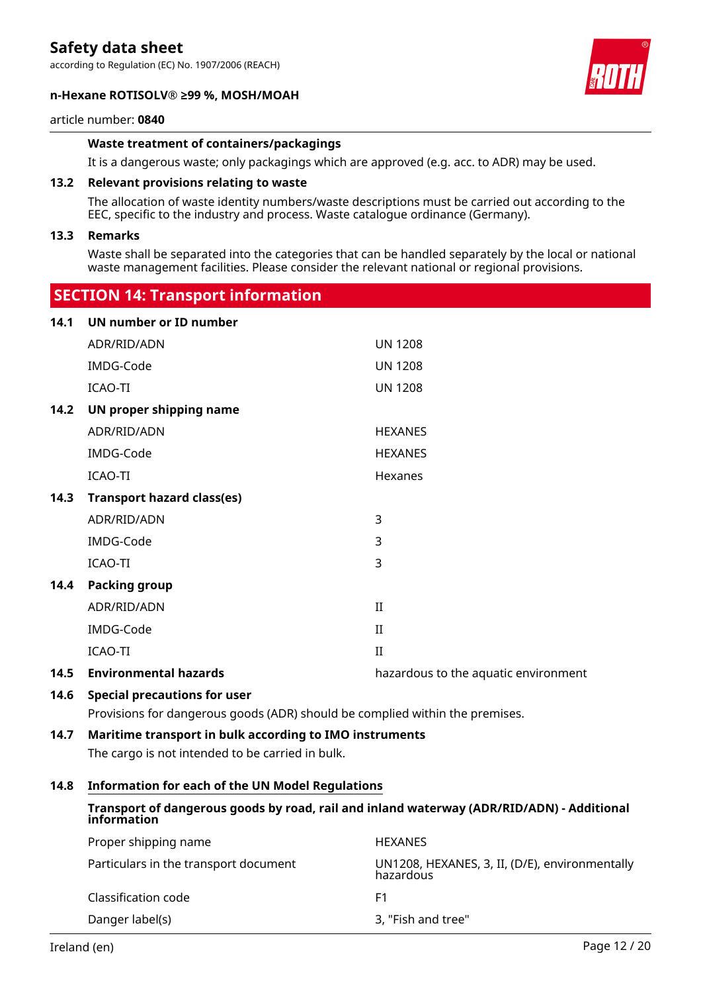according to Regulation (EC) No. 1907/2006 (REACH)

#### **n-Hexane ROTISOLV® ≥99 %, MOSH/MOAH**



#### article number: **0840**

#### **Waste treatment of containers/packagings**

It is a dangerous waste; only packagings which are approved (e.g. acc. to ADR) may be used.

#### **13.2 Relevant provisions relating to waste**

 **SECTION 14: Transport information**

The allocation of waste identity numbers/waste descriptions must be carried out according to the EEC, specific to the industry and process. Waste catalogue ordinance (Germany).

#### **13.3 Remarks**

Waste shall be separated into the categories that can be handled separately by the local or national waste management facilities. Please consider the relevant national or regional provisions.

|      | $3221211$ in the manager contribution. |                                      |
|------|----------------------------------------|--------------------------------------|
| 14.1 | UN number or ID number                 |                                      |
|      | ADR/RID/ADN                            | <b>UN 1208</b>                       |
|      | IMDG-Code                              | <b>UN 1208</b>                       |
|      | ICAO-TI                                | <b>UN 1208</b>                       |
| 14.2 | UN proper shipping name                |                                      |
|      | ADR/RID/ADN                            | <b>HEXANES</b>                       |
|      | IMDG-Code                              | <b>HEXANES</b>                       |
|      | ICAO-TI                                | Hexanes                              |
| 14.3 | <b>Transport hazard class(es)</b>      |                                      |
|      | ADR/RID/ADN                            | 3                                    |
|      | IMDG-Code                              | 3                                    |
|      | ICAO-TI                                | 3                                    |
| 14.4 | <b>Packing group</b>                   |                                      |
|      | ADR/RID/ADN                            | $\mathbf{I}$                         |
|      | IMDG-Code                              | $\mathbf{I}$                         |
|      | ICAO-TI                                | $\mathbf{I}$                         |
| 14.5 | <b>Environmental hazards</b>           | hazardous to the aquatic environment |
|      |                                        |                                      |

#### **14.6 Special precautions for user**

Provisions for dangerous goods (ADR) should be complied within the premises.

#### **14.7 Maritime transport in bulk according to IMO instruments**

The cargo is not intended to be carried in bulk.

#### **14.8 Information for each of the UN Model Regulations**

#### **Transport of dangerous goods by road, rail and inland waterway (ADR/RID/ADN) - Additional information**

| Proper shipping name                  | <b>HEXANES</b>                                              |
|---------------------------------------|-------------------------------------------------------------|
| Particulars in the transport document | UN1208, HEXANES, 3, II, (D/E), environmentally<br>hazardous |
| Classification code                   | F1                                                          |
| Danger label(s)                       | 3, "Fish and tree"                                          |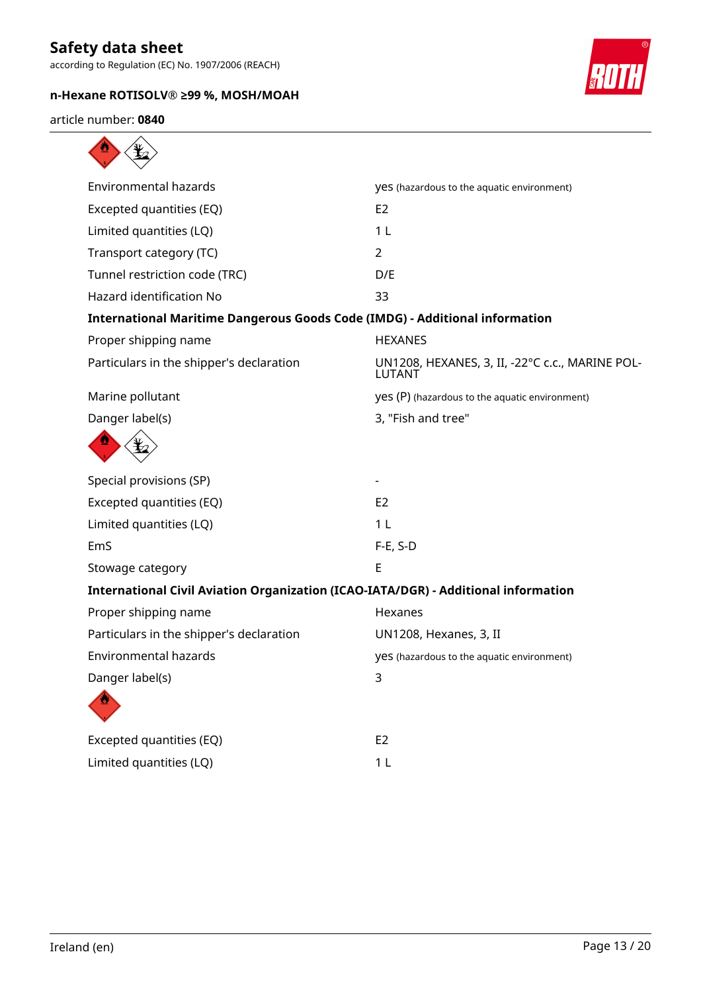according to Regulation (EC) No. 1907/2006 (REACH)

### **n-Hexane ROTISOLV® ≥99 %, MOSH/MOAH**



article number: **0840**

| yes (hazardous to the aquatic environment)                                         |
|------------------------------------------------------------------------------------|
| E <sub>2</sub>                                                                     |
| 1 <sub>L</sub>                                                                     |
| $\overline{2}$                                                                     |
| D/E                                                                                |
| 33                                                                                 |
| <b>International Maritime Dangerous Goods Code (IMDG) - Additional information</b> |
| <b>HEXANES</b>                                                                     |
| UN1208, HEXANES, 3, II, -22°C c.c., MARINE POL-<br>LUTANT                          |
| yes (P) (hazardous to the aquatic environment)                                     |
| 3, "Fish and tree"                                                                 |
|                                                                                    |
|                                                                                    |
| E <sub>2</sub>                                                                     |
| 1 <sub>L</sub>                                                                     |
| $F-E$ , S-D                                                                        |
| E                                                                                  |
| International Civil Aviation Organization (ICAO-IATA/DGR) - Additional information |
| Hexanes                                                                            |
| UN1208, Hexanes, 3, II                                                             |
| yes (hazardous to the aquatic environment)                                         |
| 3                                                                                  |
|                                                                                    |
| E <sub>2</sub>                                                                     |
| 1 <sub>L</sub>                                                                     |
|                                                                                    |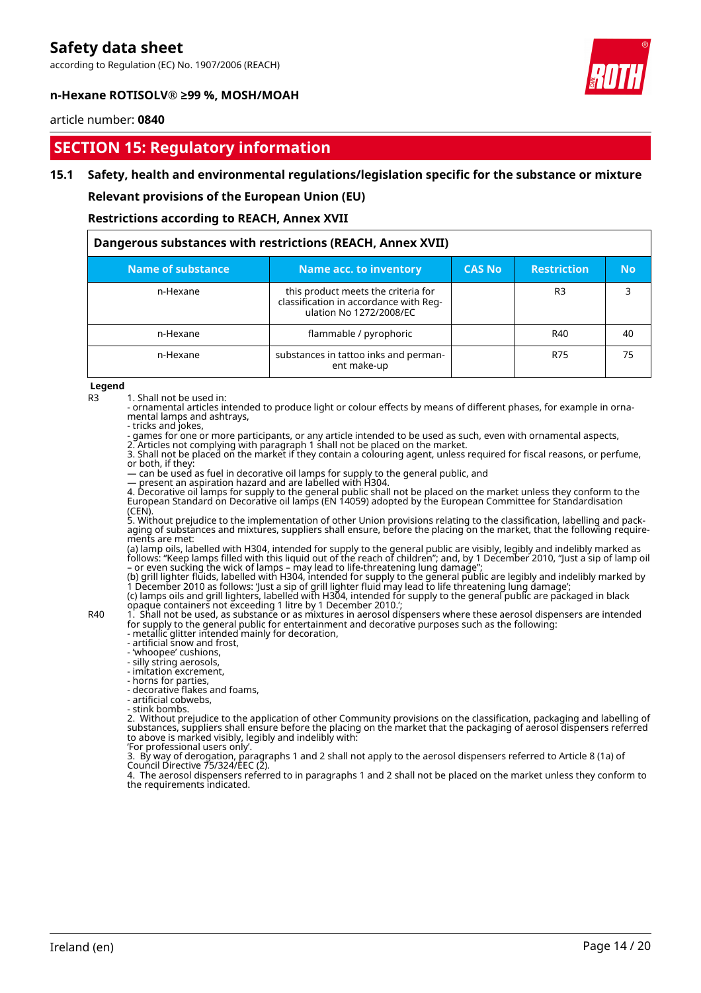according to Regulation (EC) No. 1907/2006 (REACH)



#### **n-Hexane ROTISOLV® ≥99 %, MOSH/MOAH**

#### article number: **0840**

### **SECTION 15: Regulatory information**

#### **15.1 Safety, health and environmental regulations/legislation specific for the substance or mixture**

**Relevant provisions of the European Union (EU)**

**Restrictions according to REACH, Annex XVII**

| Dangerous substances with restrictions (REACH, Annex XVII) |                                                                                                          |               |                    |           |  |
|------------------------------------------------------------|----------------------------------------------------------------------------------------------------------|---------------|--------------------|-----------|--|
| Name of substance                                          | <b>Name acc. to inventory</b>                                                                            | <b>CAS No</b> | <b>Restriction</b> | <b>No</b> |  |
| n-Hexane                                                   | this product meets the criteria for<br>classification in accordance with Reg-<br>ulation No 1272/2008/EC |               | R3                 |           |  |
| n-Hexane                                                   | flammable / pyrophoric                                                                                   |               | R40                | 40        |  |
| n-Hexane                                                   | substances in tattoo inks and perman-<br>ent make-up                                                     |               | R75                | 75        |  |

**Legend**

R3 1. Shall not be used in:

- ornamental articles intended to produce light or colour effects by means of different phases, for example in ornamental lamps and ashtrays,

- tricks and jokes,

- games for one or more participants, or any article intended to be used as such, even with ornamental aspects, 2. Articles not complying with paragraph 1 shall not be placed on the market.

3. Shall not be placed on the market if they contain a colouring agent, unless required for fiscal reasons, or perfume, or both, if they:

— can be used as fuel in decorative oil lamps for supply to the general public, and

— present an aspiration hazard and are labelled with H304.

4. Decorative oil lamps for supply to the general public shall not be placed on the market unless they conform to the European Standard on Decorative oil lamps (EN 14059) adopted by the European Committee for Standardisation (CEN).

5. Without prejudice to the implementation of other Union provisions relating to the classification, labelling and packaging of substances and mixtures, suppliers shall ensure, before the placing on the market, that the following requirements are met:

(a) lamp oils, labelled with H304, intended for supply to the general public are visibly, legibly and indelibly marked as follows: "Keep lamps filled with this liquid out of the reach of children"; and, by 1 December 2010, "Just a sip of lamp oil – or even sucking the wick of lamps – may lead to life-threatening lung damage";

(b) grill lighter fluids, labelled with H304, intended for supply to the general public are legibly and indelibly marked by 1 December 2010 as follows: 'Just a sip of grill lighter fluid may lead to life threatening lung damage'; (c) lamps oils and grill lighters, labelled with H304, intended for supply to the general public are packaged in black opaque containers not exceeding 1 litre by 1 December 2010.';

R40 1. Shall not be used, as substance or as mixtures in aerosol dispensers where these aerosol dispensers are intended for supply to the general public for entertainment and decorative purposes such as the following:

- metallic glitter intended mainly for decoration, - artificial snow and frost,

- 'whoopee' cushions,

- silly string aerosols,

- imitation excrement,

- horns for parties,

- decorative flakes and foams,

- artificial cobwebs,

- stink bombs.

2. Without prejudice to the application of other Community provisions on the classification, packaging and labelling of substances, suppliers shall ensure before the placing on the market that the packaging of aerosol dispensers referred to above is marked visibly, legibly and indelibly with:

'For professional users only'.

3. By way of derogation, paragraphs 1 and 2 shall not apply to the aerosol dispensers referred to Article 8 (1a) of Council Directive 75/324/EEC (2).

4. The aerosol dispensers referred to in paragraphs 1 and 2 shall not be placed on the market unless they conform to the requirements indicated.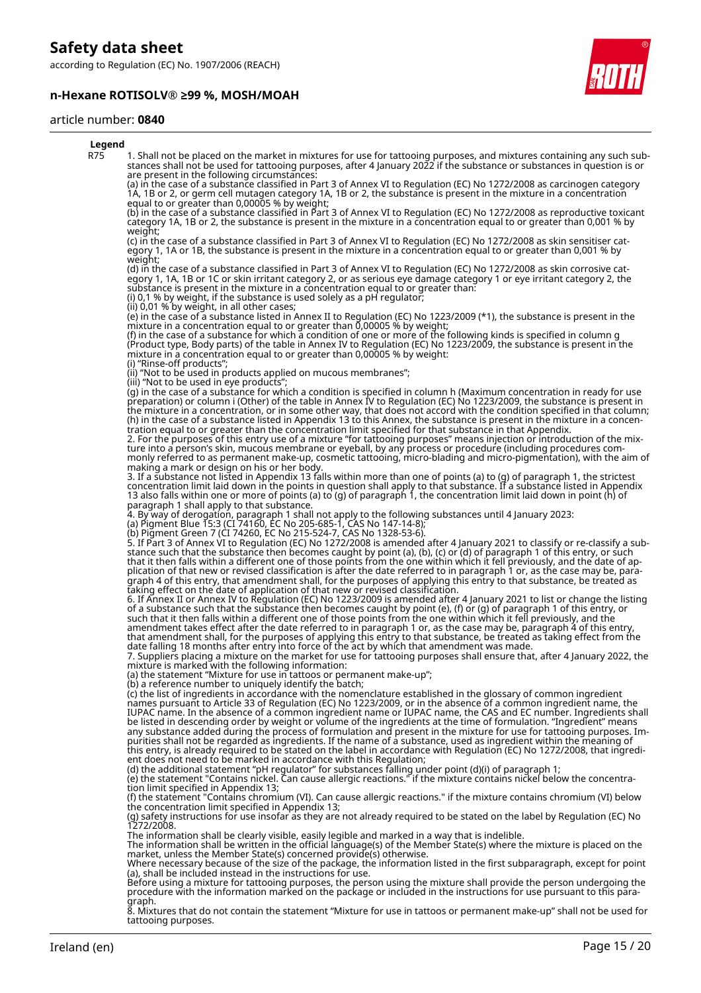according to Regulation (EC) No. 1907/2006 (REACH)

#### **n-Hexane ROTISOLV® ≥99 %, MOSH/MOAH**



#### article number: **0840**

| Legend     |                                                                                                                                                                                                                                                                                                                                                                                                                                                                                                                                                                                                                                                                                                                                                                                                                                                                                                                                                                                                                                                                               |
|------------|-------------------------------------------------------------------------------------------------------------------------------------------------------------------------------------------------------------------------------------------------------------------------------------------------------------------------------------------------------------------------------------------------------------------------------------------------------------------------------------------------------------------------------------------------------------------------------------------------------------------------------------------------------------------------------------------------------------------------------------------------------------------------------------------------------------------------------------------------------------------------------------------------------------------------------------------------------------------------------------------------------------------------------------------------------------------------------|
| <b>R75</b> | 1. Shall not be placed on the market in mixtures for use for tattooing purposes, and mixtures containing any such sub-<br>stances shall not be used for tattooing purposes, after 4 January 2022 if the substance or substances in question is or<br>are present in the following circumstances:                                                                                                                                                                                                                                                                                                                                                                                                                                                                                                                                                                                                                                                                                                                                                                              |
|            | (a) in the case of a substance classified in Part 3 of Annex VI to Regulation (EC) No 1272/2008 as carcinogen category<br>1A, 1B or 2, or germ cell mutagen category 1A, 1B or 2, the substance is present in the mixture in a concentration                                                                                                                                                                                                                                                                                                                                                                                                                                                                                                                                                                                                                                                                                                                                                                                                                                  |
|            | equal to or greater than 0,00005 % by weight;<br>(b) in the case of a substance classified in Part 3 of Annex VI to Regulation (EC) No 1272/2008 as reproductive toxicant<br>category 1A, 1B or 2, the substance is present in the mixture in a concentration equal to or greater than 0,001 % by                                                                                                                                                                                                                                                                                                                                                                                                                                                                                                                                                                                                                                                                                                                                                                             |
|            | weight;<br>(c) in the case of a substance classified in Part 3 of Annex VI to Regulation (EC) No 1272/2008 as skin sensitiser cat-<br>egory 1, 1A or 1B, the substance is present in the mixture in a concentration egual to or greater than 0,001 % by<br>weight;                                                                                                                                                                                                                                                                                                                                                                                                                                                                                                                                                                                                                                                                                                                                                                                                            |
|            | (d) in the case of a substance classified in Part 3 of Annex VI to Regulation (EC) No 1272/2008 as skin corrosive cat-<br>egory 1, 1A, 1B or 1C or skin irritant category 2, or as serious eye damage category 1 or eye irritant category 2, the<br>substance is present in the mixture in a concentration equal to or greater than:<br>(i) 0,1 % by weight, if the substance is used solely as a pH regulator;<br>(ii) 0,01 % by weight, in all other cases;                                                                                                                                                                                                                                                                                                                                                                                                                                                                                                                                                                                                                 |
|            | (e) in the case of a substance listed in Annex II to Regulation (EC) No 1223/2009 (*1), the substance is present in the<br>mixture in a concentration equal to or greater than 0,00005 % by weight;<br>(f) in the case of a substance for which a condition of one or more of the following kinds is specified in column g<br>(Product type, Body parts) of the table in Annex IV to Regulation (EC) No 1223/2009, the substance is present in the<br>mixture in a concentration equal to or greater than 0,00005 % by weight:                                                                                                                                                                                                                                                                                                                                                                                                                                                                                                                                                |
|            | (i) "Rinse-off products";<br>(ii) "Not to be used in products applied on mucous membranes";                                                                                                                                                                                                                                                                                                                                                                                                                                                                                                                                                                                                                                                                                                                                                                                                                                                                                                                                                                                   |
|            | (iii) "Not to be used in eye products";<br>(g) in the case of a substance for which a condition is specified in column h (Maximum concentration in ready for use<br>preparation) or column i (Other) of the table in Annex IV to Regulation (EC) No 1223/2009, the substance is present in<br>the mixture in a concentration, or in some other way, that does not accord with the condition specified in that column;<br>(h) in the case of a substance listed in Appendix 13 to this Annex, the substance is present in the mixture in a concen-<br>tration equal to or greater than the concentration limit specified for that substance in that Appendix.<br>2. For the purposes of this entry use of a mixture "for tattooing purposes" means injection or introduction of the mix-<br>ture into a person's skin, mucous membrane or eyeball, by any process or procedure (including procedures com-<br>monly referred to as permanent make-up, cosmetic tattooing, micro-blading and micro-pigmentation), with the aim of<br>making a mark or design on his or her body. |
|            | 3. If a substance not listed in Appendix 13 falls within more than one of points (a) to (g) of paragraph 1, the strictest<br>concentration limit laid down in the points in question shall apply to that substance. If a substance listed in Appendix<br>13 also falls within one or more of points (a) to (g) of paragraph 1, the concentration limit laid down in point (h) of<br>paragraph 1 shall apply to that substance.                                                                                                                                                                                                                                                                                                                                                                                                                                                                                                                                                                                                                                                |
|            | 4. By way of derogation, paragraph 1 shall not apply to the following substances until 4 January 2023:<br>(a) Pigment Blue 15:3 (CI 74160, EC No 205-685-1, CAS No 147-14-8);                                                                                                                                                                                                                                                                                                                                                                                                                                                                                                                                                                                                                                                                                                                                                                                                                                                                                                 |
|            | (b) Pigment Green 7 (CI 74260, EC No 215-524-7, CAS No 1328-53-6).<br>5. If Part 3 of Annex VI to Regulation (EC) No 1272/2008 is amended after 4 January 2021 to classify or re-classify a sub-                                                                                                                                                                                                                                                                                                                                                                                                                                                                                                                                                                                                                                                                                                                                                                                                                                                                              |
|            | stance such that the substance then becomes caught by point (a), (b), (c) or (d) of paragraph 1 of this entry, or such<br>that it then falls within a different one of those points from the one within which it fell previously, and the date of ap-<br>plication of that new or revised classification is after the date referred to in paragraph 1 or, as the case may be, para-<br>graph 4 of this entry, that amendment shall, for the purposes of applying this entry to that substance, be treated as<br>taking effect on the date of application of that new or revised classification.                                                                                                                                                                                                                                                                                                                                                                                                                                                                               |
|            | 6. If Annex II or Annex IV to Regulation (EC) No 1223/2009 is amended after 4 January 2021 to list or change the listing<br>of a substance such that the substance then becomes caught by point (e), (f) or (g) of paragraph 1 of this entry, or<br>such that it then falls within a different one of those points from the one within which it fell previously, and the<br>amendment takes effect after the date referred to in paragraph 1 or, as the case may be, paragraph 4 of this entry,<br>that amendment shall, for the purposes of applying this entry to that substance, be treated as taking effect from the                                                                                                                                                                                                                                                                                                                                                                                                                                                      |
|            | date falling 18 months after entry into force of the act by which that amendment was made.<br>7. Suppliers placing a mixture on the market for use for tattooing purposes shall ensure that, after 4 January 2022, the<br>mixture is marked with the following information:<br>(a) the statement "Mixture for use in tattoos or permanent make-up";                                                                                                                                                                                                                                                                                                                                                                                                                                                                                                                                                                                                                                                                                                                           |
|            | (b) a reference number to uniquely identify the batch;<br>(c) the list of ingredients in accordance with the nomenclature established in the glossary of common ingredient                                                                                                                                                                                                                                                                                                                                                                                                                                                                                                                                                                                                                                                                                                                                                                                                                                                                                                    |
|            | names pursuant to Article 33 of Regulation (EC) No 1223/2009, or in the absence of a common ingredient name, the<br>IUPAC name. In the absence of a common ingredient name or IUPAC name, the CAS and EC number. Ingredients shall<br>be listed in descending order by weight or volume of the ingredients at the time of formulation. "Ingredient" means<br>any substance added during the process of formulation and present in the mixture for use for tattooing purposes. Im-                                                                                                                                                                                                                                                                                                                                                                                                                                                                                                                                                                                             |
|            | purities shall not be regarded as ingredients. If the name of a substance, used as ingredient within the meaning of<br>this entry, is already required to be stated on the label in accordance with Regulation (EC) No 1272/2008, that ingredi-<br>ent does not need to be marked in accordance with this Regulation;                                                                                                                                                                                                                                                                                                                                                                                                                                                                                                                                                                                                                                                                                                                                                         |
|            | (d) the additional statement "pH regulator" for substances falling under point (d)(i) of paragraph 1;<br>(e) the statement "Contains nickel. Can cause allergic reactions." if the mixture contains nickel below the concentra-<br>tion limit specified in Appendix 13;<br>(f) the statement "Contains chromium (VI). Can cause allergic reactions." if the mixture contains chromium (VI) below                                                                                                                                                                                                                                                                                                                                                                                                                                                                                                                                                                                                                                                                              |
|            | the concentration limit specified in Appendix 13;<br>(g) safety instructions for use insofar as they are not already required to be stated on the label by Regulation (EC) No<br>1272/2008.                                                                                                                                                                                                                                                                                                                                                                                                                                                                                                                                                                                                                                                                                                                                                                                                                                                                                   |
|            | The information shall be clearly visible, easily legible and marked in a way that is indelible.<br>The information shall be written in the official language(s) of the Member State(s) where the mixture is placed on the<br>market, unless the Member State(s) concerned provide(s) otherwise.                                                                                                                                                                                                                                                                                                                                                                                                                                                                                                                                                                                                                                                                                                                                                                               |
|            | Where necessary because of the size of the package, the information listed in the first subparagraph, except for point<br>(a), shall be included instead in the instructions for use.<br>Before using a mixture for tattooing purposes, the person using the mixture shall provide the person undergoing the<br>procedure with the information marked on the package or included in the instructions for use pursuant to this para-                                                                                                                                                                                                                                                                                                                                                                                                                                                                                                                                                                                                                                           |
|            | graph.<br>$\tilde{\Omega}$ Mixtures that do not contain the statement "Mixture for use in tattoes or nermanent make un" shall not be used for                                                                                                                                                                                                                                                                                                                                                                                                                                                                                                                                                                                                                                                                                                                                                                                                                                                                                                                                 |

8. Mixtures that do not contain the statement "Mixture for use in tattoos or permanent make-up" shall not be used for tattooing purposes.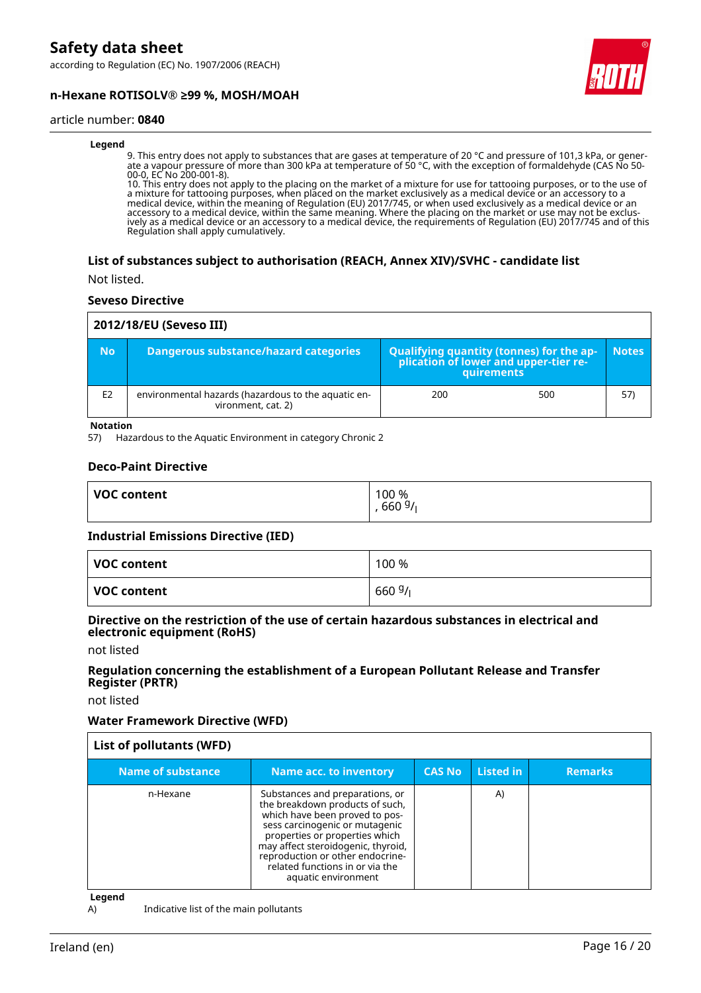according to Regulation (EC) No. 1907/2006 (REACH)





#### article number: **0840**

#### **Legend**

9. This entry does not apply to substances that are gases at temperature of 20 °C and pressure of 101,3 kPa, or generate a vapour pressure of more than 300 kPa at temperature of 50 °C, with the exception of formaldehyde (CAS No 50- 00-0, EC No 200-001-8).

10. This entry does not apply to the placing on the market of a mixture for use for tattooing purposes, or to the use of a mixture for tattooing purposes, when placed on the market exclusively as a medical device or an accessory to a medical device, within the meaning of Regulation (EU) 2017/745, or when used exclusively as a medical device or an accessory to a medical device, within the same meaning. Where the placing on the market or use may not be exclusively as a medical device or an accessory to a medical device, the requirements of Regulation (EU) 2017/745 and of this Regulation shall apply cumulatively.

#### **List of substances subject to authorisation (REACH, Annex XIV)/SVHC - candidate list**

Not listed.

#### **Seveso Directive**

| 2012/18/EU (Seveso III) |                                                                           |                                                                                            |     |              |  |
|-------------------------|---------------------------------------------------------------------------|--------------------------------------------------------------------------------------------|-----|--------------|--|
| <b>No</b>               | Dangerous substance/hazard categories                                     | Qualifying quantity (tonnes) for the application of lower and upper-tier re-<br>quirements |     | <b>Notes</b> |  |
| E <sub>2</sub>          | environmental hazards (hazardous to the aquatic en-<br>vironment, cat. 2) | 200                                                                                        | 500 | 57)          |  |

**Notation**

57) Hazardous to the Aquatic Environment in category Chronic 2

#### **Deco-Paint Directive**

| <b>VOC content</b> | 100 %<br>6609/ |
|--------------------|----------------|
|                    |                |

#### **Industrial Emissions Directive (IED)**

| VOC content | 100 %  |
|-------------|--------|
| VOC content | 6609/1 |

#### **Directive on the restriction of the use of certain hazardous substances in electrical and electronic equipment (RoHS)**

not listed

#### **Regulation concerning the establishment of a European Pollutant Release and Transfer Register (PRTR)**

not listed

#### **Water Framework Directive (WFD)**

| List of pollutants (WFD) |                                                                                                                                                                                                                                                                                                              |               |           |                |
|--------------------------|--------------------------------------------------------------------------------------------------------------------------------------------------------------------------------------------------------------------------------------------------------------------------------------------------------------|---------------|-----------|----------------|
| Name of substance        | <b>Name acc. to inventory</b>                                                                                                                                                                                                                                                                                | <b>CAS No</b> | Listed in | <b>Remarks</b> |
| n-Hexane                 | Substances and preparations, or<br>the breakdown products of such,<br>which have been proved to pos-<br>sess carcinogenic or mutagenic<br>properties or properties which<br>may affect steroidogenic, thyroid,<br>reproduction or other endocrine-<br>related functions in or via the<br>aquatic environment |               | A)        |                |

**Legend**

A) Indicative list of the main pollutants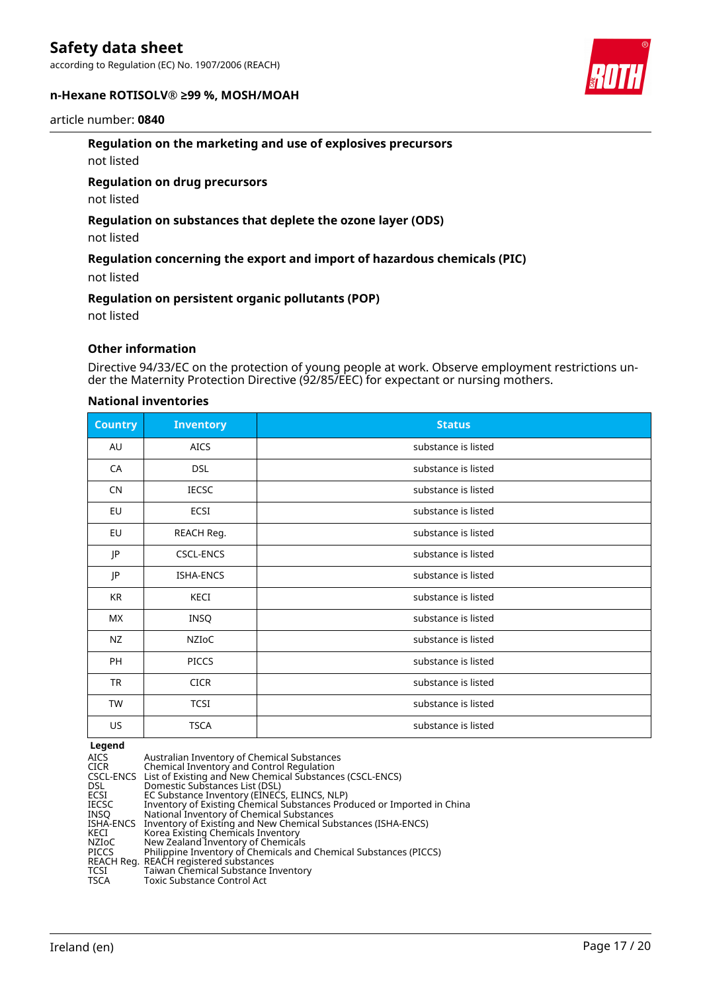according to Regulation (EC) No. 1907/2006 (REACH)

#### **n-Hexane ROTISOLV® ≥99 %, MOSH/MOAH**

### article number: **0840**

#### **Regulation on the marketing and use of explosives precursors**

not listed

#### **Regulation on drug precursors**

not listed

#### **Regulation on substances that deplete the ozone layer (ODS)**

not listed

#### **Regulation concerning the export and import of hazardous chemicals (PIC)**

not listed

#### **Regulation on persistent organic pollutants (POP)**

not listed

#### **Other information**

Directive 94/33/EC on the protection of young people at work. Observe employment restrictions under the Maternity Protection Directive (92/85/EEC) for expectant or nursing mothers.

#### **National inventories**

| <b>Country</b> | <b>Inventory</b> | <b>Status</b>       |
|----------------|------------------|---------------------|
| AU             | <b>AICS</b>      | substance is listed |
| CA             | <b>DSL</b>       | substance is listed |
| <b>CN</b>      | <b>IECSC</b>     | substance is listed |
| EU             | ECSI             | substance is listed |
| EU             | REACH Reg.       | substance is listed |
| JP             | <b>CSCL-ENCS</b> | substance is listed |
| JP             | ISHA-ENCS        | substance is listed |
| KR             | KECI             | substance is listed |
| <b>MX</b>      | INSQ             | substance is listed |
| <b>NZ</b>      | NZIoC            | substance is listed |
| PH             | <b>PICCS</b>     | substance is listed |
| <b>TR</b>      | <b>CICR</b>      | substance is listed |
| TW             | <b>TCSI</b>      | substance is listed |
| US             | <b>TSCA</b>      | substance is listed |

#### **Legend**

| Australian Inventory of Chemical Substances<br>Chemical Inventory and Control Regulation |
|------------------------------------------------------------------------------------------|
| CSCL-ENCS List of Existing and New Chemical Substances (CSCL-ENCS)                       |
| Domestic Substances List (DSL)                                                           |
| EC Substance Inventory (EINECS, ELINCS, NLP)                                             |
| Inventory of Existing Chemical Substances Produced or Imported in China                  |
| National Inventory of Chemical Substances                                                |
| ISHA-ENCS Inventory of Existing and New Chemical Substances (ISHA-ENCS)                  |
| Korea Existing Chemicals Inventory                                                       |
| New Zealand Inventory of Chemicals                                                       |
| Philippine Inventory of Chemicals and Chemical Substances (PICCS)                        |
| REACH Reg. REACH registered substances                                                   |
| Taiwan Chemical Substance Inventory                                                      |
| Toxic Substance Control Act                                                              |
|                                                                                          |

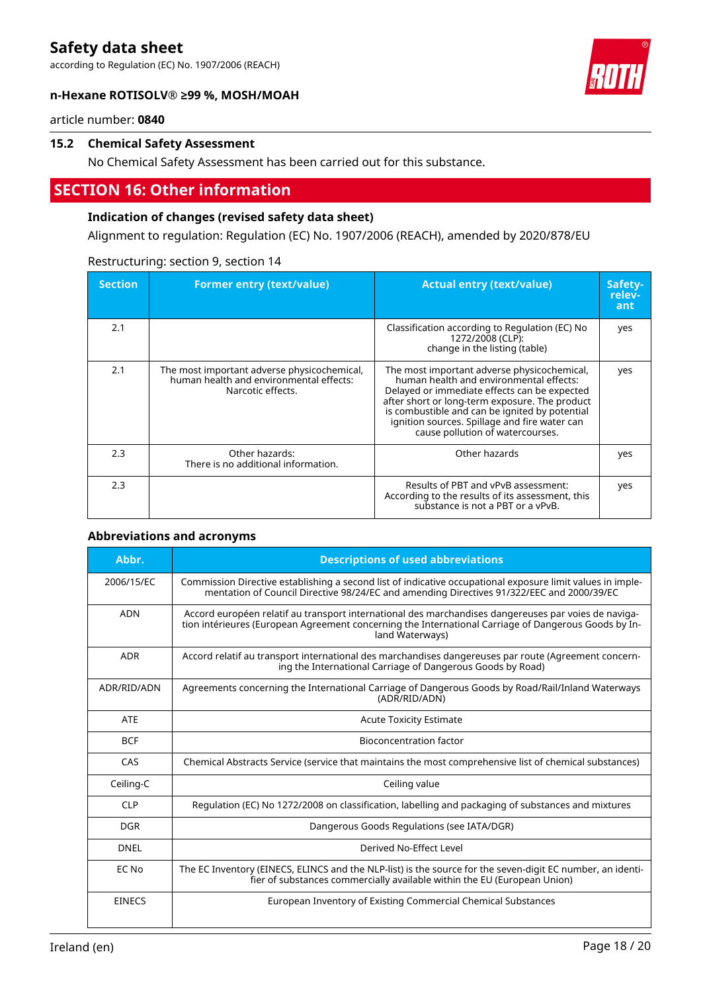according to Regulation (EC) No. 1907/2006 (REACH)

#### **n-Hexane ROTISOLV® ≥99 %, MOSH/MOAH**



article number: **0840**

#### **15.2 Chemical Safety Assessment**

No Chemical Safety Assessment has been carried out for this substance.

### **SECTION 16: Other information**

#### **Indication of changes (revised safety data sheet)**

Alignment to regulation: Regulation (EC) No. 1907/2006 (REACH), amended by 2020/878/EU

| <b>Section</b> | <b>Former entry (text/value)</b>                                                                            | <b>Actual entry (text/value)</b>                                                                                                                                                                                                                                                                                                | Safety-<br>relev-<br>ant |
|----------------|-------------------------------------------------------------------------------------------------------------|---------------------------------------------------------------------------------------------------------------------------------------------------------------------------------------------------------------------------------------------------------------------------------------------------------------------------------|--------------------------|
| 2.1            |                                                                                                             | Classification according to Regulation (EC) No<br>1272/2008 (CLP):<br>change in the listing (table)                                                                                                                                                                                                                             | yes                      |
| 2.1            | The most important adverse physicochemical,<br>human health and environmental effects:<br>Narcotic effects. | The most important adverse physicochemical,<br>human health and environmental effects:<br>Delayed or immediate effects can be expected<br>after short or long-term exposure. The product<br>is combustible and can be ignited by potential<br>ignition sources. Spillage and fire water can<br>cause pollution of watercourses. | yes                      |
| 2.3            | Other hazards:<br>There is no additional information.                                                       | Other hazards                                                                                                                                                                                                                                                                                                                   | yes                      |
| 2.3            |                                                                                                             | Results of PBT and vPvB assessment:<br>According to the results of its assessment, this<br>substance is not a PBT or a vPvB.                                                                                                                                                                                                    | yes                      |

#### Restructuring: section 9, section 14

#### **Abbreviations and acronyms**

| Abbr.         | <b>Descriptions of used abbreviations</b>                                                                                                                                                                                       |
|---------------|---------------------------------------------------------------------------------------------------------------------------------------------------------------------------------------------------------------------------------|
| 2006/15/EC    | Commission Directive establishing a second list of indicative occupational exposure limit values in imple-<br>mentation of Council Directive 98/24/EC and amending Directives 91/322/EEC and 2000/39/EC                         |
| <b>ADN</b>    | Accord européen relatif au transport international des marchandises dangereuses par voies de naviga-<br>tion intérieures (European Agreement concerning the International Carriage of Dangerous Goods by In-<br>land Waterways) |
| <b>ADR</b>    | Accord relatif au transport international des marchandises dangereuses par route (Agreement concern-<br>ing the International Carriage of Dangerous Goods by Road)                                                              |
| ADR/RID/ADN   | Agreements concerning the International Carriage of Dangerous Goods by Road/Rail/Inland Waterways<br>(ADR/RID/ADN)                                                                                                              |
| <b>ATE</b>    | <b>Acute Toxicity Estimate</b>                                                                                                                                                                                                  |
| <b>BCF</b>    | Bioconcentration factor                                                                                                                                                                                                         |
| CAS           | Chemical Abstracts Service (service that maintains the most comprehensive list of chemical substances)                                                                                                                          |
| Ceiling-C     | Ceiling value                                                                                                                                                                                                                   |
| <b>CLP</b>    | Regulation (EC) No 1272/2008 on classification, labelling and packaging of substances and mixtures                                                                                                                              |
| <b>DGR</b>    | Dangerous Goods Regulations (see IATA/DGR)                                                                                                                                                                                      |
| <b>DNEL</b>   | Derived No-Effect Level                                                                                                                                                                                                         |
| EC No         | The EC Inventory (EINECS, ELINCS and the NLP-list) is the source for the seven-digit EC number, an identi-<br>fier of substances commercially available within the EU (European Union)                                          |
| <b>EINECS</b> | European Inventory of Existing Commercial Chemical Substances                                                                                                                                                                   |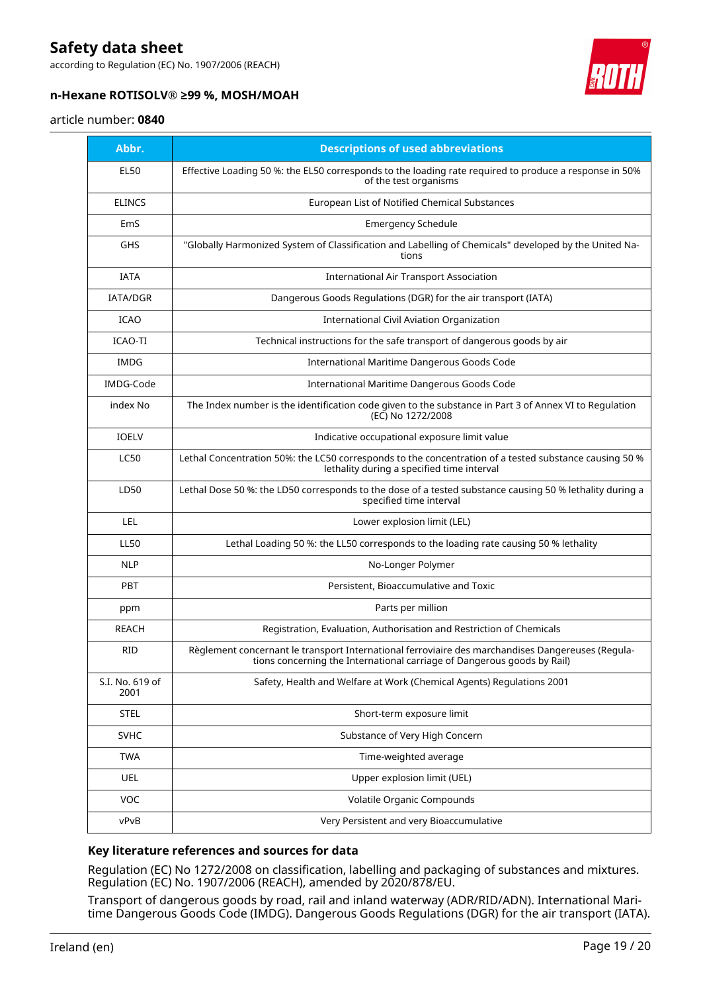according to Regulation (EC) No. 1907/2006 (REACH)



### **n-Hexane ROTISOLV® ≥99 %, MOSH/MOAH**

#### article number: **0840**

| Abbr.                   | <b>Descriptions of used abbreviations</b>                                                                                                                                    |
|-------------------------|------------------------------------------------------------------------------------------------------------------------------------------------------------------------------|
| <b>EL50</b>             | Effective Loading 50 %: the EL50 corresponds to the loading rate required to produce a response in 50%<br>of the test organisms                                              |
| <b>ELINCS</b>           | European List of Notified Chemical Substances                                                                                                                                |
| EmS                     | <b>Emergency Schedule</b>                                                                                                                                                    |
| <b>GHS</b>              | "Globally Harmonized System of Classification and Labelling of Chemicals" developed by the United Na-<br>tions                                                               |
| <b>IATA</b>             | <b>International Air Transport Association</b>                                                                                                                               |
| <b>IATA/DGR</b>         | Dangerous Goods Regulations (DGR) for the air transport (IATA)                                                                                                               |
| <b>ICAO</b>             | International Civil Aviation Organization                                                                                                                                    |
| <b>ICAO-TI</b>          | Technical instructions for the safe transport of dangerous goods by air                                                                                                      |
| <b>IMDG</b>             | International Maritime Dangerous Goods Code                                                                                                                                  |
| IMDG-Code               | International Maritime Dangerous Goods Code                                                                                                                                  |
| index No                | The Index number is the identification code given to the substance in Part 3 of Annex VI to Regulation<br>(EC) No 1272/2008                                                  |
| <b>IOELV</b>            | Indicative occupational exposure limit value                                                                                                                                 |
| <b>LC50</b>             | Lethal Concentration 50%: the LC50 corresponds to the concentration of a tested substance causing 50 %<br>lethality during a specified time interval                         |
| LD50                    | Lethal Dose 50 %: the LD50 corresponds to the dose of a tested substance causing 50 % lethality during a<br>specified time interval                                          |
| LEL                     | Lower explosion limit (LEL)                                                                                                                                                  |
| <b>LL50</b>             | Lethal Loading 50 %: the LL50 corresponds to the loading rate causing 50 % lethality                                                                                         |
| <b>NLP</b>              | No-Longer Polymer                                                                                                                                                            |
| <b>PBT</b>              | Persistent, Bioaccumulative and Toxic                                                                                                                                        |
| ppm                     | Parts per million                                                                                                                                                            |
| REACH                   | Registration, Evaluation, Authorisation and Restriction of Chemicals                                                                                                         |
| <b>RID</b>              | Règlement concernant le transport International ferroviaire des marchandises Dangereuses (Regula-<br>tions concerning the International carriage of Dangerous goods by Rail) |
| S.I. No. 619 of<br>2001 | Safety, Health and Welfare at Work (Chemical Agents) Regulations 2001                                                                                                        |
| <b>STEL</b>             | Short-term exposure limit                                                                                                                                                    |
| <b>SVHC</b>             | Substance of Very High Concern                                                                                                                                               |
| <b>TWA</b>              | Time-weighted average                                                                                                                                                        |
| <b>UEL</b>              | Upper explosion limit (UEL)                                                                                                                                                  |
| <b>VOC</b>              | <b>Volatile Organic Compounds</b>                                                                                                                                            |
| vPvB                    | Very Persistent and very Bioaccumulative                                                                                                                                     |

#### **Key literature references and sources for data**

Regulation (EC) No 1272/2008 on classification, labelling and packaging of substances and mixtures. Regulation (EC) No. 1907/2006 (REACH), amended by 2020/878/EU.

Transport of dangerous goods by road, rail and inland waterway (ADR/RID/ADN). International Maritime Dangerous Goods Code (IMDG). Dangerous Goods Regulations (DGR) for the air transport (IATA).